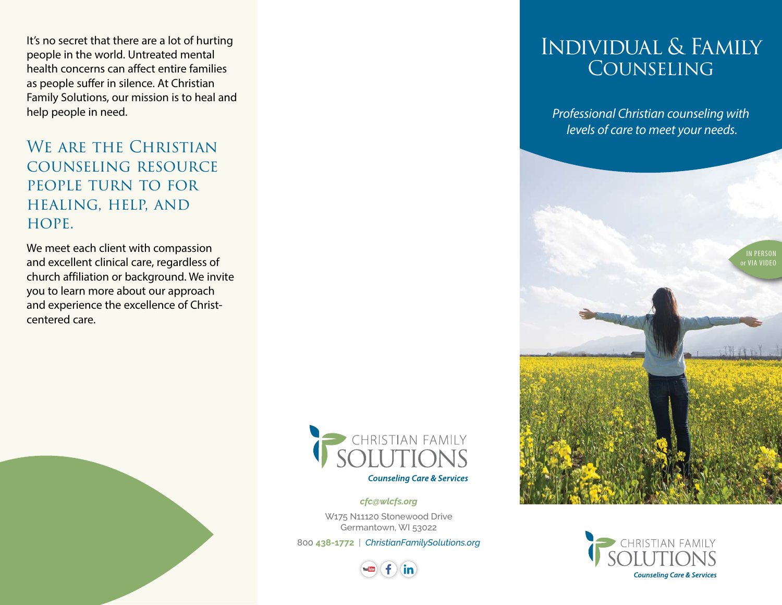It's no secret that there are a lot of hurting people in the world. Untreated mental health concerns can affect entire families as people suffer in silence. At Christian Family Solutions, our mission is to heal and help people in need.

WE ARE THE CHRISTIAN counseling resource people turn to for healing, help, and HOPE.

We meet each client with compassion and excellent clinical care, regardless of church affiliation or background. We invite you to learn more about our approach and experience the excellence of Christcentered care.



*cfc@wlcfs.org*

W175 N11120 Stonewood Drive Germantown, WI 53022

800 **438-1772** | *[ChristianFamilySolutions.org](https://christianfamilysolutions.org/)*



## Individual & Family **COUNSELING**

*Professional Christian counseling with levels of care to meet your needs.*